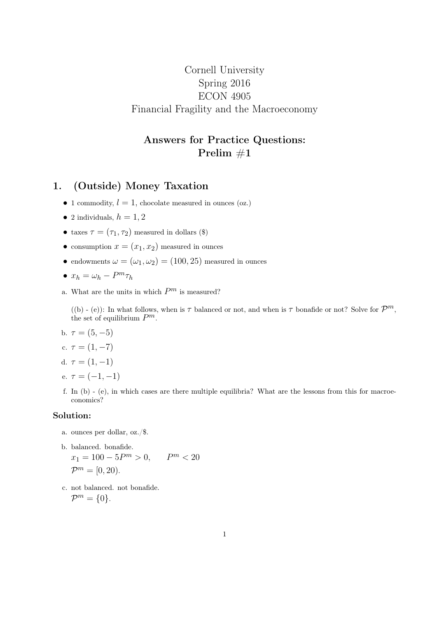# Cornell University Spring 2016 ECON 4905 Financial Fragility and the Macroeconomy

## Answers for Practice Questions: Prelim  $#1$

## 1. (Outside) Money Taxation

- 1 commodity,  $l = 1$ , chocolate measured in ounces (oz.)
- 2 individuals,  $h = 1, 2$
- taxes  $\tau = (\tau_1, \tau_2)$  measured in dollars (\$)
- consumption  $x = (x_1, x_2)$  measured in ounces
- endowments  $\omega = (\omega_1, \omega_2) = (100, 25)$  measured in ounces

$$
\bullet \ x_h = \omega_h - P^m \tau_h
$$

a. What are the units in which  $P^m$  is measured?

((b) - (e)): In what follows, when is  $\tau$  balanced or not, and when is  $\tau$  bonafide or not? Solve for  $\mathcal{P}^m$ , the set of equilibrium  $P^m$ .

b.  $\tau = (5, -5)$ 

c. 
$$
\tau = (1, -7)
$$

d. 
$$
\tau = (1, -1)
$$

- e.  $\tau = (-1, -1)$
- f. In (b) (e), in which cases are there multiple equilibria? What are the lessons from this for macroeconomics?

### Solution:

- a. ounces per dollar, oz./\$.
- b. balanced. bonafide.  $x_1 = 100 - 5P^m > 0,$  $P<sup>m</sup> < 20$  $\mathcal{P}^m = [0, 20).$
- c. not balanced. not bonafide.  $\mathcal{P}^m = \{0\}.$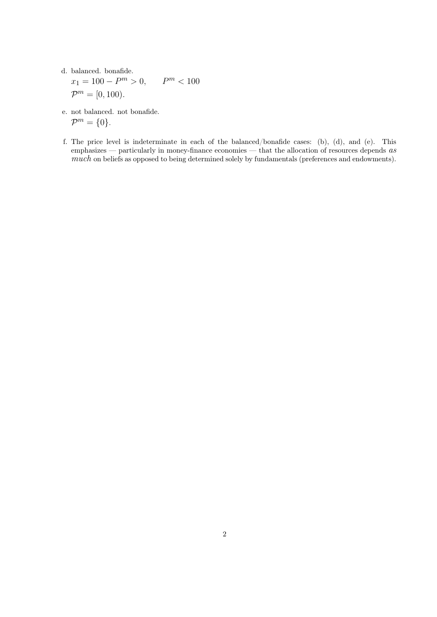d. balanced. bonafide.

$$
x_1 = 100 - P^m > 0, \qquad P^m < 100
$$
  

$$
\mathcal{P}^m = [0, 100).
$$

- e. not balanced. not bonafide.  $\mathcal{P}^m = \{0\}.$
- f. The price level is indeterminate in each of the balanced/bonafide cases: (b), (d), and (e). This emphasizes — particularly in money-finance economies — that the allocation of resources depends  $as$ much on beliefs as opposed to being determined solely by fundamentals (preferences and endowments).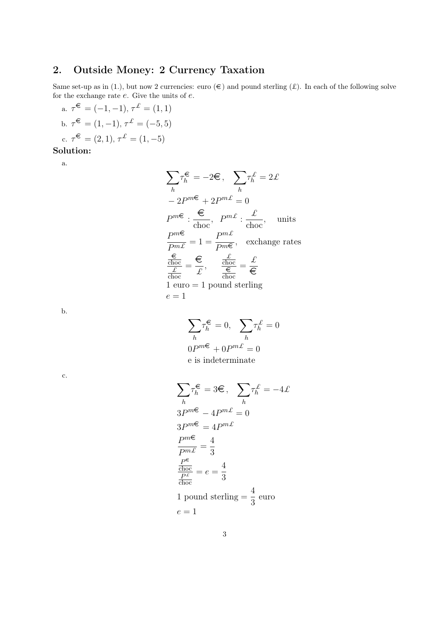# 2. Outside Money: 2 Currency Taxation

Same set-up as in (1.), but now 2 currencies: euro  $(\epsilon)$  and pound sterling  $(\mathcal{L})$ . In each of the following solve for the exchange rate  $e$ . Give the units of  $e$ .

a.  $\tau^{\epsilon} = (-1, -1), \tau^{\pounds} = (1, 1)$ b.  $\tau^{\epsilon} = (1, -1), \tau^{\pounds} = (-5, 5)$ c.  $\tau^{\epsilon} = (2, 1), \tau^{\mathcal{L}} = (1, -5)$ 

### Solution:

a.

$$
\sum_{h} \tau_{h}^{\epsilon} = -2\epsilon, \sum_{h} \tau_{h}^{L} = 2\mathcal{L}
$$
  
\n
$$
-2P^{m\epsilon} + 2P^{m\epsilon} = 0
$$
  
\n
$$
P^{m\epsilon} : \frac{\epsilon}{\epsilon_{\text{hoc}}}, P^{m\epsilon} : \frac{\mathcal{L}}{\epsilon_{\text{hoc}}}, \text{ units}
$$
  
\n
$$
\frac{P^{m\epsilon}}{P^{m\epsilon}} = 1 = \frac{P^{m\epsilon}}{P^{m\epsilon}}, \text{ exchange rates}
$$
  
\n
$$
\frac{\frac{\epsilon}{\epsilon_{\text{hoc}}}}{\frac{\mathcal{L}}{\epsilon_{\text{hoc}}}} = \frac{\epsilon}{\mathcal{L}}, \frac{\frac{\mathcal{L}}{\epsilon_{\text{doc}}}}{\frac{\epsilon}{\epsilon_{\text{doc}}}} = \frac{\mathcal{L}}{\epsilon}
$$
  
\n
$$
1 \text{ euro} = 1 \text{ pound sterling}
$$
  
\n
$$
e = 1
$$

b.

 $\sum$ h  $\tau_h^{\displaystyle \epsilon} = 0, \;\;\sum$ h  $\tau_h^{\mathcal{L}}=0$  $0P^{m\infty} + 0P^{m\pounds} = 0$ e is indeterminate

c.

$$
\sum_{h} \tau_{h}^{\epsilon} = 3\epsilon, \quad \sum_{h} \tau_{h}^{\ell} = -4\ell
$$
  
\n
$$
3P^{m\epsilon} - 4P^{m\ell} = 0
$$
  
\n
$$
3P^{m\epsilon} = 4P^{m\ell}
$$
  
\n
$$
\frac{P^{m\epsilon}}{P^{m\ell}} = \frac{4}{3}
$$
  
\n
$$
\frac{P^{\epsilon}}{P^{\ell}} = e = \frac{4}{3}
$$
  
\n1 pound sterling =  $\frac{4}{3}$  euro  
\n $e = 1$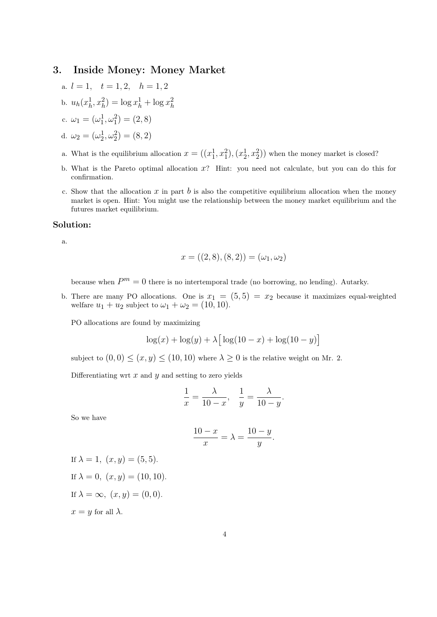### 3. Inside Money: Money Market

- a.  $l = 1, t = 1, 2, h = 1, 2$
- b.  $u_h(x_h^1)$  $h_1^1, x_h^2$  =  $\log x_h^1 + \log x_h^2$ h

c. 
$$
\omega_1 = (\omega_1^1, \omega_1^2) = (2, 8)
$$

d. 
$$
\omega_2 = (\omega_2^1, \omega_2^2) = (8, 2)
$$

- a. What is the equilibrium allocation  $x = ((x_1^1, x_1^2), (x_2^1, x_2^2))$  when the money market is closed?
- b. What is the Pareto optimal allocation x? Hint: you need not calculate, but you can do this for confirmation.
- c. Show that the allocation x in part b is also the competitive equilibrium allocation when the money market is open. Hint: You might use the relationship between the money market equilibrium and the futures market equilibrium.

#### Solution:

a.

$$
x = ((2, 8), (8, 2)) = (\omega_1, \omega_2)
$$

because when  $P^m = 0$  there is no intertemporal trade (no borrowing, no lending). Autarky.

b. There are many PO allocations. One is  $x_1 = (5, 5) = x_2$  because it maximizes equal-weighted welfare  $u_1 + u_2$  subject to  $\omega_1 + \omega_2 = (10, 10)$ .

PO allocations are found by maximizing

$$
\log(x) + \log(y) + \lambda \left[ \log(10 - x) + \log(10 - y) \right]
$$

subject to  $(0,0) \leq (x, y) \leq (10, 10)$  where  $\lambda \geq 0$  is the relative weight on Mr. 2.

Differentiating wrt  $x$  and  $y$  and setting to zero yields

$$
\frac{1}{x} = \frac{\lambda}{10 - x}, \quad \frac{1}{y} = \frac{\lambda}{10 - y}.
$$

So we have

$$
\frac{10-x}{x} = \lambda = \frac{10-y}{y}.
$$

```
If \lambda = 1, (x, y) = (5, 5).
If \lambda = 0, (x, y) = (10, 10).
If \lambda = \infty, (x, y) = (0, 0).
x = y for all \lambda.
```